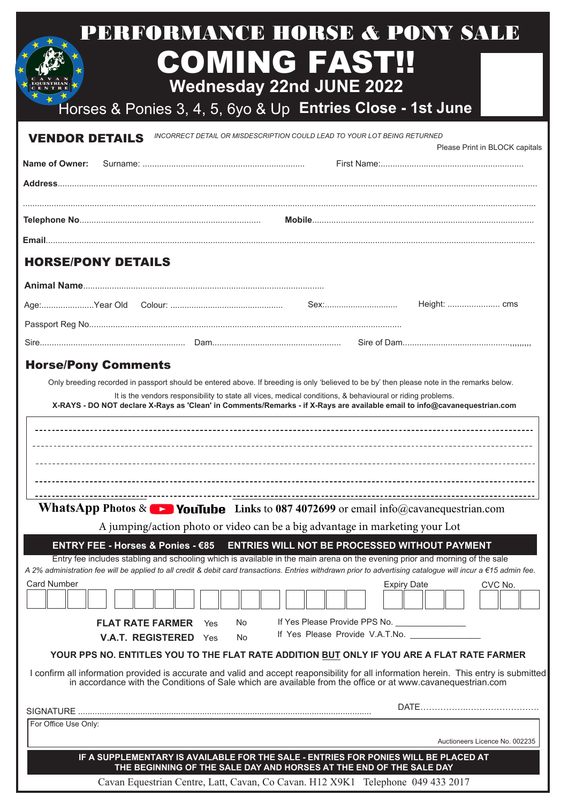| <b>VENDOR DETAILS</b>             | Horses & Ponies 3, 4, 5, 6yo & Up Entries Close - 1st June<br>INCORRECT DETAIL OR MISDESCRIPTION COULD LEAD TO YOUR LOT BEING RETURNED                                                                                                                                                                                                              |
|-----------------------------------|-----------------------------------------------------------------------------------------------------------------------------------------------------------------------------------------------------------------------------------------------------------------------------------------------------------------------------------------------------|
| Name of Owner:                    | Please Print in BLOCK capitals                                                                                                                                                                                                                                                                                                                      |
|                                   |                                                                                                                                                                                                                                                                                                                                                     |
|                                   |                                                                                                                                                                                                                                                                                                                                                     |
|                                   |                                                                                                                                                                                                                                                                                                                                                     |
|                                   |                                                                                                                                                                                                                                                                                                                                                     |
| <b>HORSE/PONY DETAILS</b>         |                                                                                                                                                                                                                                                                                                                                                     |
|                                   |                                                                                                                                                                                                                                                                                                                                                     |
|                                   |                                                                                                                                                                                                                                                                                                                                                     |
|                                   |                                                                                                                                                                                                                                                                                                                                                     |
|                                   |                                                                                                                                                                                                                                                                                                                                                     |
|                                   |                                                                                                                                                                                                                                                                                                                                                     |
|                                   |                                                                                                                                                                                                                                                                                                                                                     |
| ENTRY FEE - Horses & Ponies - €85 | <b>WhatsApp Photos &amp; Departure 12</b> YouTube Links to 087 4072699 or email info@cavanequestrian.com<br>A jumping/action photo or video can be a big advantage in marketing your Lot<br>ENTRIES WILL NOT BE PROCESSED WITHOUT PAYMENT                                                                                                           |
|                                   | Entry fee includes stabling and schooling which is available in the main arena on the evening prior and morning of the sale<br>A 2% administration fee will be applied to all credit & debit card transactions. Entries withdrawn prior to advertising catalogue will incur a €15 admin fee.                                                        |
| <b>Card Number</b>                | <b>Expiry Date</b><br>CVC No.                                                                                                                                                                                                                                                                                                                       |
|                                   |                                                                                                                                                                                                                                                                                                                                                     |
| <b>FLAT RATE FARMER</b><br>Yes    | If Yes Please Provide PPS No. ________________<br>No                                                                                                                                                                                                                                                                                                |
| <b>V.A.T. REGISTERED</b> Yes      | If Yes Please Provide V.A.T.No.<br>No                                                                                                                                                                                                                                                                                                               |
|                                   | YOUR PPS NO. ENTITLES YOU TO THE FLAT RATE ADDITION BUT ONLY IF YOU ARE A FLAT RATE FARMER<br>I confirm all information provided is accurate and valid and accept reaponsibility for all information herein. This entry is submitted<br>in accordance with the Conditions of Sale which are available from the office or at www.cavanequestrian.com |

Cavan Equestrian Centre, Latt, Cavan, Co Cavan. H12 X9K1 Telephone 049 433 2017